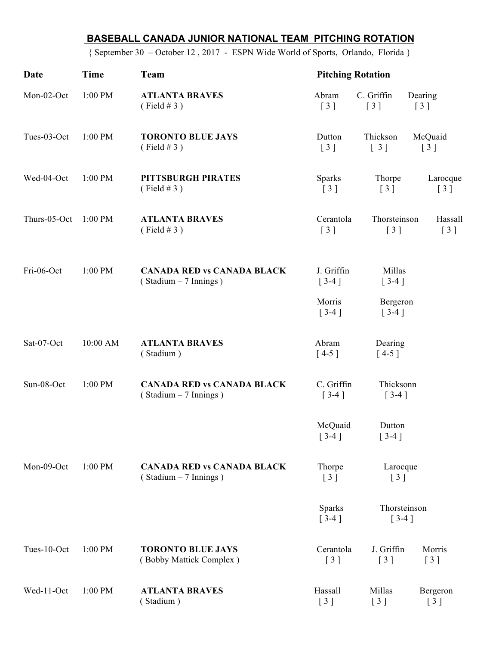## **BASEBALL CANADA JUNIOR NATIONAL TEAM PITCHING ROTATION**

{ September 30 – October 12 , 2017 - ESPN Wide World of Sports, Orlando, Florida }

| Date         | Time      | Team                                                         | <b>Pitching Rotation</b>                           |                                                 |                                               |
|--------------|-----------|--------------------------------------------------------------|----------------------------------------------------|-------------------------------------------------|-----------------------------------------------|
| Mon-02-Oct   | 1:00 PM   | <b>ATLANTA BRAVES</b><br>(Field # 3)                         | Abram<br>$\begin{bmatrix} 3 \end{bmatrix}$         | C. Griffin<br>$\begin{bmatrix} 3 \end{bmatrix}$ | Dearing<br>$\begin{bmatrix} 3 \end{bmatrix}$  |
| Tues-03-Oct  | 1:00 PM   | <b>TORONTO BLUE JAYS</b><br>(Field # 3)                      | Dutton<br>$[3]$                                    | Thickson<br>$\begin{bmatrix} 3 \end{bmatrix}$   | McQuaid<br>$\begin{bmatrix} 3 \end{bmatrix}$  |
| Wed-04-Oct   | 1:00 PM   | PITTSBURGH PIRATES<br>(Field # 3)                            | <b>Sparks</b><br>$\begin{bmatrix} 3 \end{bmatrix}$ | Thorpe<br>$[3]$                                 | Larocque<br>$\begin{bmatrix} 3 \end{bmatrix}$ |
| Thurs-05-Oct | $1:00$ PM | <b>ATLANTA BRAVES</b><br>(Field #3)                          | Cerantola<br>$\begin{bmatrix} 3 \end{bmatrix}$     | Thorsteinson<br>Hassall<br>$[3]$<br>$[3]$       |                                               |
| Fri-06-Oct   | 1:00 PM   | <b>CANADA RED vs CANADA BLACK</b><br>$(Stadium - 7 Innings)$ | J. Griffin<br>Millas<br>$[3-4]$<br>$[3-4]$         |                                                 |                                               |
|              |           |                                                              | Morris<br>$[3-4]$                                  | Bergeron<br>$[3-4]$                             |                                               |
| Sat-07-Oct   | 10:00 AM  | <b>ATLANTA BRAVES</b><br>(Stadium)                           | Abram<br>$[4-5]$                                   | Dearing<br>$[4-5]$                              |                                               |
| Sun-08-Oct   | 1:00 PM   | <b>CANADA RED vs CANADA BLACK</b><br>(Stadium - 7 Innings)   | $[3-4]$                                            | C. Griffin<br>Thicksonn<br>$[3-4]$              |                                               |
|              |           |                                                              | McQuaid<br>$\left[$ 3-4 $\right]$                  | Dutton<br>$[3-4]$                               |                                               |
| Mon-09-Oct   | 1:00 PM   | <b>CANADA RED vs CANADA BLACK</b><br>$(Stadium - 7 Innings)$ | Thorpe<br>[3]                                      | Larocque<br>[3]<br>Thorsteinson<br>$[3-4]$      |                                               |
|              |           |                                                              | Sparks<br>$[3-4]$                                  |                                                 |                                               |
| Tues-10-Oct  | 1:00 PM   | <b>TORONTO BLUE JAYS</b><br>(Bobby Mattick Complex)          | Cerantola<br>$\begin{bmatrix} 3 \end{bmatrix}$     | J. Griffin<br>$\begin{bmatrix} 3 \end{bmatrix}$ | Morris<br>[3]                                 |
| Wed-11-Oct   | 1:00 PM   | <b>ATLANTA BRAVES</b><br>(Stadium)                           | Hassall<br>$\left[3\right]$                        | Millas<br>$[3]$                                 | Bergeron<br>[3]                               |